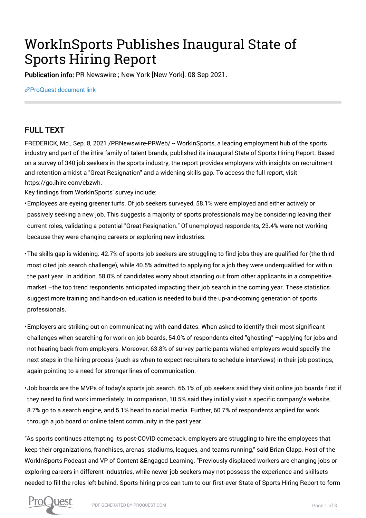## WorkInSports Publishes Inaugural State of Sports Hiring Report

Publication info: PR Newswire ; New York [New York]. 08 Sep 2021.

[ProQuest document link](https://www.proquest.com/wire-feeds/workinsports-publishes-inaugural-state-sports/docview/2570020301/se-2?accountid=44910)

## FULL TEXT

FREDERICK, Md., Sep. 8, 2021 / PRNewswire-PRWeb/ -- WorkInSports, a leading employment hub of the sports industry and part of the iHire family of talent brands, published its inaugural State of Sports Hiring Report. Based on a survey of 340 job seekers in the sports industry, the report provides employers with insights on recruitment and retention amidst a "Great Resignation" and a widening skills gap. To access the full report, visit https://go.ihire.com/cbzwh.

Key findings from WorkInSports' survey include:

• Employees are eyeing greener turfs. Of job seekers surveyed, 58.1% were employed and either actively or passively seeking a new job. This suggests a majority of sports professionals may be considering leaving their current roles, validating a potential "Great Resignation." Of unemployed respondents, 23.4% were not working because they were changing careers or exploring new industries.

• The skills gap is widening. 42.7% of sports job seekers are struggling to find jobs they are qualified for (the third most cited job search challenge), while 40.5% admitted to applying for a job they were underqualified for within the past year. In addition, 58.0% of candidates worry about standing out from other applicants in a competitive market –the top trend respondents anticipated impacting their job search in the coming year. These statistics suggest more training and hands-on education is needed to build the up-and-coming generation of sports professionals.

• Employers are striking out on communicating with candidates. When asked to identify their most significant challenges when searching for work on job boards, 54.0% of respondents cited "ghosting" –applying for jobs and not hearing back from employers. Moreover, 63.8% of survey participants wished employers would specify the next steps in the hiring process (such as when to expect recruiters to schedule interviews) in their job postings, again pointing to a need for stronger lines of communication.

• Job boards are the MVPs of today's sports job search. 66.1% of job seekers said they visit online job boards first if they need to find work immediately. In comparison, 10.5% said they initially visit a specific company's website, 8.7% go to a search engine, and 5.1% head to social media. Further, 60.7% of respondents applied for work through a job board or online talent community in the past year.

"As sports continues attempting its post-COVID comeback, employers are struggling to hire the employees that keep their organizations, franchises, arenas, stadiums, leagues, and teams running," said Brian Clapp, Host of the WorkInSports Podcast and VP of Content &Engaged Learning. "Previously displaced workers are changing jobs or exploring careers in different industries, while newer job seekers may not possess the experience and skillsets needed to fill the roles left behind. Sports hiring pros can turn to our first-ever State of Sports Hiring Report to form

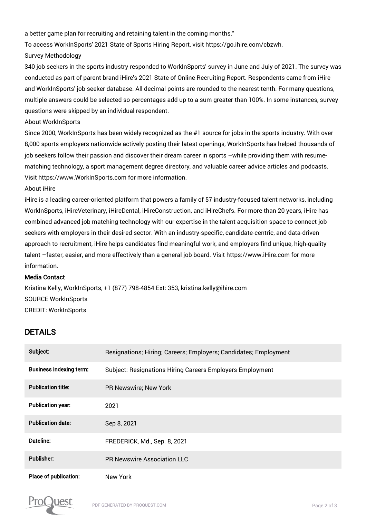a better game plan for recruiting and retaining talent in the coming months."

To access WorkInSports' 2021 State of Sports Hiring Report, visit https://go.ihire.com/cbzwh.

Survey Methodology

340 job seekers in the sports industry responded to WorkInSports' survey in June and July of 2021. The survey was conducted as part of parent brand iHire's 2021 State of Online Recruiting Report. Respondents came from iHire and WorkInSports' job seeker database. All decimal points are rounded to the nearest tenth. For many questions, multiple answers could be selected so percentages add up to a sum greater than 100%. In some instances, survey questions were skipped by an individual respondent.

About WorkInSports

Since 2000, WorkInSports has been widely recognized as the #1 source for jobs in the sports industry. With over 8,000 sports employers nationwide actively posting their latest openings, WorkInSports has helped thousands of job seekers follow their passion and discover their dream career in sports –while providing them with resumematching technology, a sport management degree directory, and valuable career advice articles and podcasts. Visit https://www.WorkInSports.com for more information.

About iHire

iHire is a leading career-oriented platform that powers a family of 57 industry-focused talent networks, including WorkInSports, iHireVeterinary, iHireDental, iHireConstruction, and iHireChefs. For more than 20 years, iHire has combined advanced job matching technology with our expertise in the talent acquisition space to connect job seekers with employers in their desired sector. With an industry-specific, candidate-centric, and data-driven approach to recruitment, iHire helps candidates find meaningful work, and employers find unique, high-quality talent –faster, easier, and more effectively than a general job board. Visit https://www.iHire.com for more information.

## Media Contact

Kristina Kelly, WorkInSports, +1 (877) 798-4854 Ext: 353, kristina.kelly@ihire.com SOURCE WorkInSports CREDIT: WorkInSports

## DETAILS

| Subject:                       | Resignations; Hiring; Careers; Employers; Candidates; Employment |
|--------------------------------|------------------------------------------------------------------|
| <b>Business indexing term:</b> | <b>Subject: Resignations Hiring Careers Employers Employment</b> |
| <b>Publication title:</b>      | PR Newswire; New York                                            |
| <b>Publication year:</b>       | 2021                                                             |
| <b>Publication date:</b>       | Sep 8, 2021                                                      |
| Dateline:                      | FREDERICK, Md., Sep. 8, 2021                                     |
| <b>Publisher:</b>              | PR Newswire Association LLC                                      |
| Place of publication:          | New York                                                         |